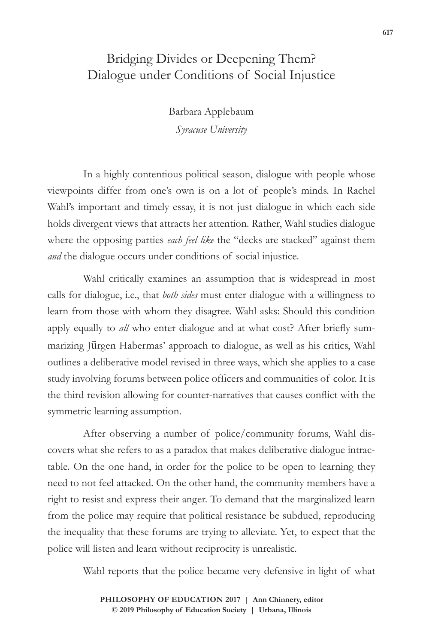## Bridging Divides or Deepening Them? Dialogue under Conditions of Social Injustice

Barbara Applebaum *Syracuse University*

In a highly contentious political season, dialogue with people whose viewpoints differ from one's own is on a lot of people's minds. In Rachel Wahl's important and timely essay, it is not just dialogue in which each side holds divergent views that attracts her attention. Rather, Wahl studies dialogue where the opposing parties *each feel like* the "decks are stacked" against them *and* the dialogue occurs under conditions of social injustice.

Wahl critically examines an assumption that is widespread in most calls for dialogue, i.e., that *both sides* must enter dialogue with a willingness to learn from those with whom they disagree. Wahl asks: Should this condition apply equally to *all* who enter dialogue and at what cost? After briefly summarizing Jürgen Habermas' approach to dialogue, as well as his critics, Wahl outlines a deliberative model revised in three ways, which she applies to a case study involving forums between police officers and communities of color. It is the third revision allowing for counter-narratives that causes conflict with the symmetric learning assumption.

After observing a number of police/community forums, Wahl discovers what she refers to as a paradox that makes deliberative dialogue intractable. On the one hand, in order for the police to be open to learning they need to not feel attacked. On the other hand, the community members have a right to resist and express their anger. To demand that the marginalized learn from the police may require that political resistance be subdued, reproducing the inequality that these forums are trying to alleviate. Yet, to expect that the police will listen and learn without reciprocity is unrealistic.

Wahl reports that the police became very defensive in light of what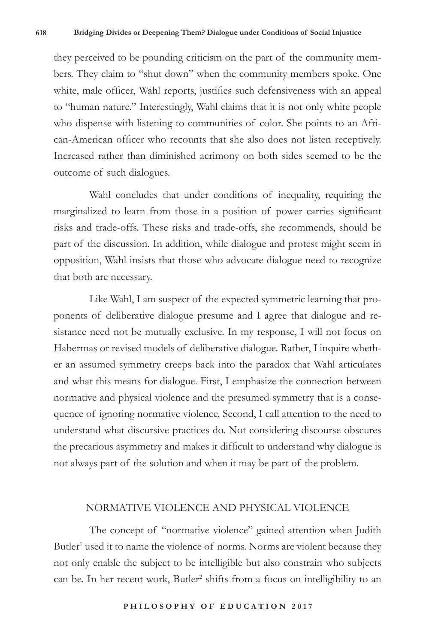they perceived to be pounding criticism on the part of the community members. They claim to "shut down" when the community members spoke. One white, male officer, Wahl reports, justifies such defensiveness with an appeal to "human nature." Interestingly, Wahl claims that it is not only white people who dispense with listening to communities of color. She points to an African-American officer who recounts that she also does not listen receptively. Increased rather than diminished acrimony on both sides seemed to be the outcome of such dialogues.

Wahl concludes that under conditions of inequality, requiring the marginalized to learn from those in a position of power carries significant risks and trade-offs. These risks and trade-offs, she recommends, should be part of the discussion. In addition, while dialogue and protest might seem in opposition, Wahl insists that those who advocate dialogue need to recognize that both are necessary.

Like Wahl, I am suspect of the expected symmetric learning that proponents of deliberative dialogue presume and I agree that dialogue and resistance need not be mutually exclusive. In my response, I will not focus on Habermas or revised models of deliberative dialogue. Rather, I inquire whether an assumed symmetry creeps back into the paradox that Wahl articulates and what this means for dialogue. First, I emphasize the connection between normative and physical violence and the presumed symmetry that is a consequence of ignoring normative violence. Second, I call attention to the need to understand what discursive practices do. Not considering discourse obscures the precarious asymmetry and makes it difficult to understand why dialogue is not always part of the solution and when it may be part of the problem.

## NORMATIVE VIOLENCE AND PHYSICAL VIOLENCE

The concept of "normative violence" gained attention when Judith Butler<sup>1</sup> used it to name the violence of norms. Norms are violent because they not only enable the subject to be intelligible but also constrain who subjects can be. In her recent work, Butler<sup>2</sup> shifts from a focus on intelligibility to an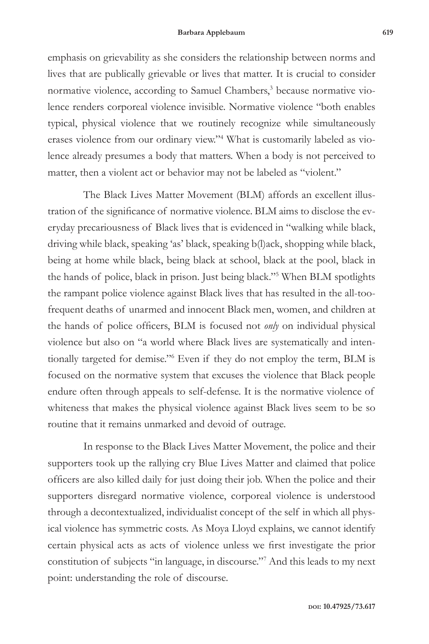emphasis on grievability as she considers the relationship between norms and lives that are publically grievable or lives that matter. It is crucial to consider normative violence, according to Samuel Chambers,<sup>3</sup> because normative violence renders corporeal violence invisible. Normative violence "both enables typical, physical violence that we routinely recognize while simultaneously erases violence from our ordinary view."4 What is customarily labeled as violence already presumes a body that matters. When a body is not perceived to matter, then a violent act or behavior may not be labeled as "violent."

The Black Lives Matter Movement (BLM) affords an excellent illustration of the significance of normative violence. BLM aims to disclose the everyday precariousness of Black lives that is evidenced in "walking while black, driving while black, speaking 'as' black, speaking b(l)ack, shopping while black, being at home while black, being black at school, black at the pool, black in the hands of police, black in prison. Just being black."5 When BLM spotlights the rampant police violence against Black lives that has resulted in the all-toofrequent deaths of unarmed and innocent Black men, women, and children at the hands of police officers, BLM is focused not *only* on individual physical violence but also on "a world where Black lives are systematically and intentionally targeted for demise."6 Even if they do not employ the term, BLM is focused on the normative system that excuses the violence that Black people endure often through appeals to self-defense. It is the normative violence of whiteness that makes the physical violence against Black lives seem to be so routine that it remains unmarked and devoid of outrage.

In response to the Black Lives Matter Movement, the police and their supporters took up the rallying cry Blue Lives Matter and claimed that police officers are also killed daily for just doing their job. When the police and their supporters disregard normative violence, corporeal violence is understood through a decontextualized, individualist concept of the self in which all physical violence has symmetric costs. As Moya Lloyd explains, we cannot identify certain physical acts as acts of violence unless we first investigate the prior constitution of subjects "in language, in discourse."7 And this leads to my next point: understanding the role of discourse.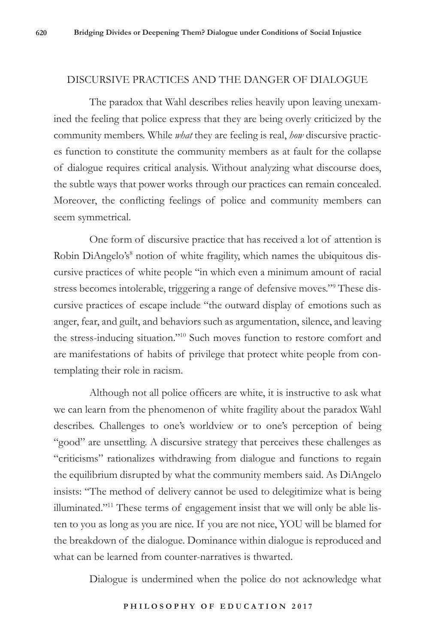## DISCURSIVE PRACTICES AND THE DANGER OF DIALOGUE

The paradox that Wahl describes relies heavily upon leaving unexamined the feeling that police express that they are being overly criticized by the community members. While *what* they are feeling is real, *how* discursive practices function to constitute the community members as at fault for the collapse of dialogue requires critical analysis. Without analyzing what discourse does, the subtle ways that power works through our practices can remain concealed. Moreover, the conflicting feelings of police and community members can seem symmetrical.

One form of discursive practice that has received a lot of attention is Robin DiAngelo's<sup>8</sup> notion of white fragility, which names the ubiquitous discursive practices of white people "in which even a minimum amount of racial stress becomes intolerable, triggering a range of defensive moves."<sup>9</sup> These discursive practices of escape include "the outward display of emotions such as anger, fear, and guilt, and behaviors such as argumentation, silence, and leaving the stress-inducing situation."10 Such moves function to restore comfort and are manifestations of habits of privilege that protect white people from contemplating their role in racism.

Although not all police officers are white, it is instructive to ask what we can learn from the phenomenon of white fragility about the paradox Wahl describes. Challenges to one's worldview or to one's perception of being "good" are unsettling. A discursive strategy that perceives these challenges as "criticisms" rationalizes withdrawing from dialogue and functions to regain the equilibrium disrupted by what the community members said. As DiAngelo insists: "The method of delivery cannot be used to delegitimize what is being illuminated."11 These terms of engagement insist that we will only be able listen to you as long as you are nice. If you are not nice, YOU will be blamed for the breakdown of the dialogue. Dominance within dialogue is reproduced and what can be learned from counter-narratives is thwarted.

Dialogue is undermined when the police do not acknowledge what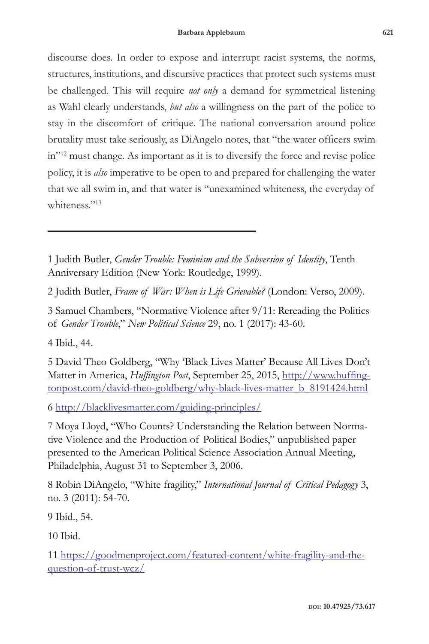discourse does. In order to expose and interrupt racist systems, the norms, structures, institutions, and discursive practices that protect such systems must be challenged. This will require *not only* a demand for symmetrical listening as Wahl clearly understands, *but also* a willingness on the part of the police to stay in the discomfort of critique. The national conversation around police brutality must take seriously, as DiAngelo notes, that "the water officers swim in"12 must change. As important as it is to diversify the force and revise police policy, it is *also* imperative to be open to and prepared for challenging the water that we all swim in, and that water is "unexamined whiteness, the everyday of whiteness."<sup>13</sup>

1 Judith Butler, *Gender Trouble: Feminism and the Subversion of Identity*, Tenth Anniversary Edition (New York: Routledge, 1999).

2 Judith Butler, *Frame of War: When is Life Grievable?* (London: Verso, 2009).

3 Samuel Chambers, "Normative Violence after 9/11: Rereading the Politics of *Gender Trouble*," *New Political Science* 29, no. 1 (2017): 43-60.

4 Ibid., 44.

5 David Theo Goldberg, "Why 'Black Lives Matter' Because All Lives Don't Matter in America, *Huffington Post*, September 25, 2015, http://www.huffingtonpost.com/david-theo-goldberg/why-black-lives-matter\_b\_8191424.html

6 http://blacklivesmatter.com/guiding-principles/

7 Moya Lloyd, "Who Counts? Understanding the Relation between Normative Violence and the Production of Political Bodies," unpublished paper presented to the American Political Science Association Annual Meeting, Philadelphia, August 31 to September 3, 2006.

8 Robin DiAngelo, "White fragility," *International Journal of Critical Pedagogy* 3, no. 3 (2011): 54-70.

9 Ibid., 54.

10 Ibid.

11 https://goodmenproject.com/featured-content/white-fragility-and-thequestion-of-trust-wcz/